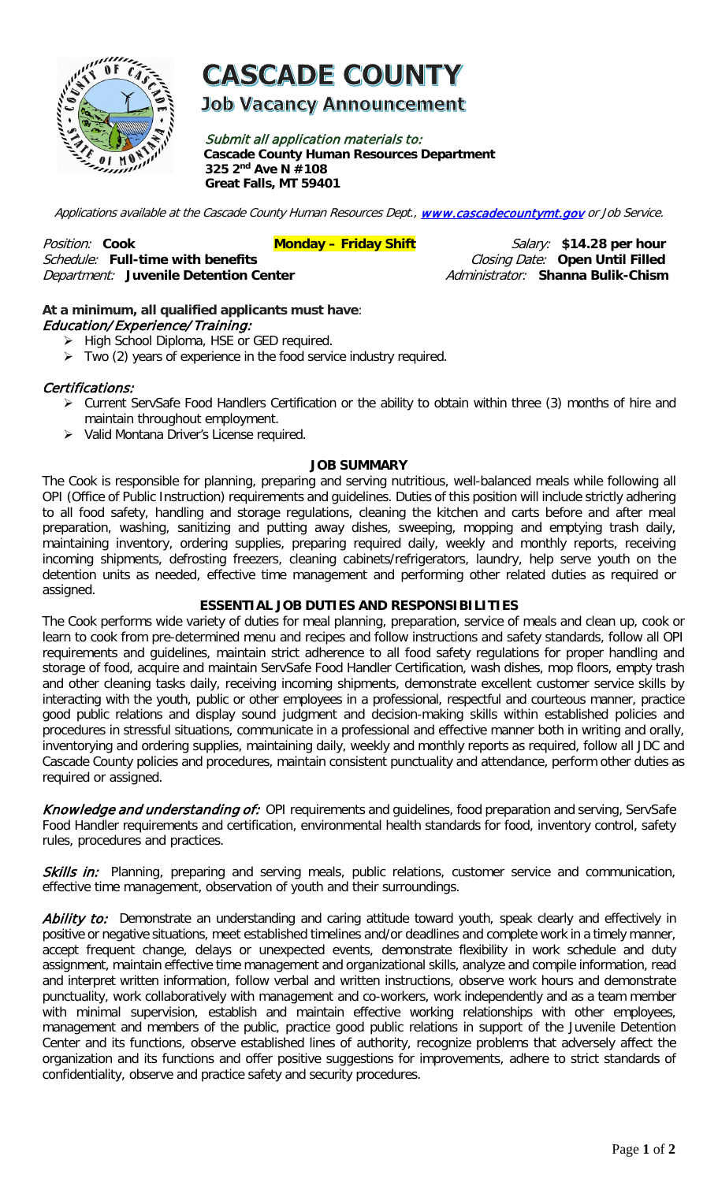

# **CASCADE COUNTY**

**Job Vacancy Announcement** 

Submit all application materials to: **Cascade County Human Resources Department 325 2nd Ave N #108 Great Falls, MT 59401** 

Applications available at the Cascade County Human Resources Dept., [www.cascadecountymt.gov](http://www.cascadecountymt.gov/) or Job Service.

Position: Cook **Monday – Friday Shift** Salary: \$14.28 per hour **Monday – Friday Shift** Salary: \$14.28 per hour<br>*Schedule: F*ull-time with benefits *Monday – Friday Shift (Closing Date: O*pen Until Filled Schedule: **Full-time with benefits** Closing Date: **Open Until Filled Department: Juvenile Detention Center** 

### **At a minimum, all qualified applicants must have**: Education/ Experience/ Training:

- > High School Diploma, HSE or GED required.
- $\triangleright$  Two (2) years of experience in the food service industry required.

#### Certifications:

- Current ServSafe Food Handlers Certification or the ability to obtain within three (3) months of hire and maintain throughout employment.
- Valid Montana Driver's License required.

#### **JOB SUMMARY**

The Cook is responsible for planning, preparing and serving nutritious, well-balanced meals while following all OPI (Office of Public Instruction) requirements and guidelines. Duties of this position will include strictly adhering to all food safety, handling and storage regulations, cleaning the kitchen and carts before and after meal preparation, washing, sanitizing and putting away dishes, sweeping, mopping and emptying trash daily, maintaining inventory, ordering supplies, preparing required daily, weekly and monthly reports, receiving incoming shipments, defrosting freezers, cleaning cabinets/refrigerators, laundry, help serve youth on the detention units as needed, effective time management and performing other related duties as required or assigned.

#### **ESSENTIAL JOB DUTIES AND RESPONSIBILITIES**

The Cook performs wide variety of duties for meal planning, preparation, service of meals and clean up, cook or learn to cook from pre-determined menu and recipes and follow instructions and safety standards, follow all OPI requirements and guidelines, maintain strict adherence to all food safety regulations for proper handling and storage of food, acquire and maintain ServSafe Food Handler Certification, wash dishes, mop floors, empty trash and other cleaning tasks daily, receiving incoming shipments, demonstrate excellent customer service skills by interacting with the youth, public or other employees in a professional, respectful and courteous manner, practice good public relations and display sound judgment and decision-making skills within established policies and procedures in stressful situations, communicate in a professional and effective manner both in writing and orally, inventorying and ordering supplies, maintaining daily, weekly and monthly reports as required, follow all JDC and Cascade County policies and procedures, maintain consistent punctuality and attendance, perform other duties as required or assigned.

Knowledge and understanding of: OPI requirements and guidelines, food preparation and serving, ServSafe Food Handler requirements and certification, environmental health standards for food, inventory control, safety rules, procedures and practices.

Skills in: Planning, preparing and serving meals, public relations, customer service and communication, effective time management, observation of youth and their surroundings.

Ability to: Demonstrate an understanding and caring attitude toward youth, speak clearly and effectively in positive or negative situations, meet established timelines and/or deadlines and complete work in a timely manner, accept frequent change, delays or unexpected events, demonstrate flexibility in work schedule and duty assignment, maintain effective time management and organizational skills, analyze and compile information, read and interpret written information, follow verbal and written instructions, observe work hours and demonstrate punctuality, work collaboratively with management and co-workers, work independently and as a team member with minimal supervision, establish and maintain effective working relationships with other employees, management and members of the public, practice good public relations in support of the Juvenile Detention Center and its functions, observe established lines of authority, recognize problems that adversely affect the organization and its functions and offer positive suggestions for improvements, adhere to strict standards of confidentiality, observe and practice safety and security procedures.